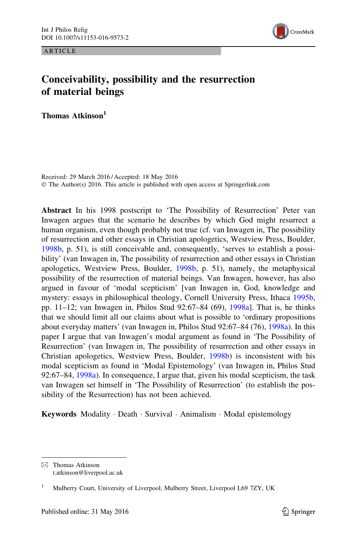ARTICLE



# Conceivability, possibility and the resurrection of material beings

Thomas Atkinson<sup>1</sup>

Received: 29 March 2016 / Accepted: 18 May 2016 © The Author(s) 2016. This article is published with open access at Springerlink.com

Abstract In his 1998 postscript to 'The Possibility of Resurrection' Peter van Inwagen argues that the scenario he describes by which God might resurrect a human organism, even though probably not true (cf. van Inwagen in, The possibility of resurrection and other essays in Christian apologetics, Westview Press, Boulder, [1998b,](#page-17-0) p. 51), is still conceivable and, consequently, 'serves to establish a possibility' (van Inwagen in, The possibility of resurrection and other essays in Christian apologetics, Westview Press, Boulder, [1998b](#page-17-0), p. 51), namely, the metaphysical possibility of the resurrection of material beings. Van Inwagen, however, has also argued in favour of 'modal scepticism' [van Inwagen in, God, knowledge and mystery: essays in philosophical theology, Cornell University Press, Ithaca [1995b,](#page-17-0) pp. 11–12; van Inwagen in, Philos Stud 92:67–84 (69), [1998a\]](#page-17-0). That is, he thinks that we should limit all our claims about what is possible to 'ordinary propositions about everyday matters' (van Inwagen in, Philos Stud 92:67–84 (76), [1998a\)](#page-17-0). In this paper I argue that van Inwagen's modal argument as found in 'The Possibility of Resurrection' (van Inwagen in, The possibility of resurrection and other essays in Christian apologetics, Westview Press, Boulder, [1998b](#page-17-0)) is inconsistent with his modal scepticism as found in 'Modal Epistemology' (van Inwagen in, Philos Stud 92:67–84, [1998a](#page-17-0)). In consequence, I argue that, given his modal scepticism, the task van Inwagen set himself in 'The Possibility of Resurrection' (to establish the possibility of the Resurrection) has not been achieved.

Keywords Modality · Death · Survival · Animalism · Modal epistemology

 $\boxtimes$  Thomas Atkinson t.atkinson@liverpool.ac.uk

<sup>&</sup>lt;sup>1</sup> Mulberry Court, University of Liverpool, Mulberry Street, Liverpool L69 7ZY, UK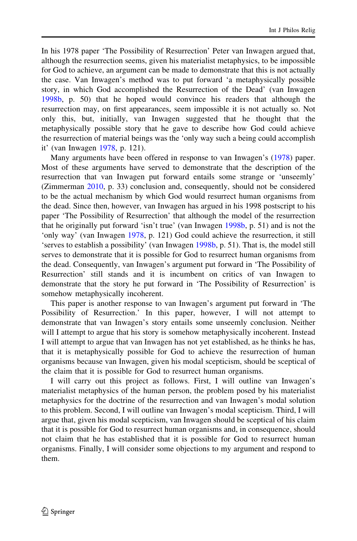In his 1978 paper 'The Possibility of Resurrection' Peter van Inwagen argued that, although the resurrection seems, given his materialist metaphysics, to be impossible for God to achieve, an argument can be made to demonstrate that this is not actually the case. Van Inwagen's method was to put forward 'a metaphysically possible story, in which God accomplished the Resurrection of the Dead' (van Inwagen [1998b,](#page-17-0) p. 50) that he hoped would convince his readers that although the resurrection may, on first appearances, seem impossible it is not actually so. Not only this, but, initially, van Inwagen suggested that he thought that the metaphysically possible story that he gave to describe how God could achieve the resurrection of material beings was the 'only way such a being could accomplish it' (van Inwagen [1978](#page-17-0), p. 121).

Many arguments have been offered in response to van Inwagen's [\(1978\)](#page-17-0) paper. Most of these arguments have served to demonstrate that the description of the resurrection that van Inwagen put forward entails some strange or 'unseemly' (Zimmerman [2010](#page-17-0), p. 33) conclusion and, consequently, should not be considered to be the actual mechanism by which God would resurrect human organisms from the dead. Since then, however, van Inwagen has argued in his 1998 postscript to his paper 'The Possibility of Resurrection' that although the model of the resurrection that he originally put forward 'isn't true' (van Inwagen [1998b,](#page-17-0) p. 51) and is not the 'only way' (van Inwagen [1978](#page-17-0), p. 121) God could achieve the resurrection, it still 'serves to establish a possibility' (van Inwagen [1998b,](#page-17-0) p. 51). That is, the model still serves to demonstrate that it is possible for God to resurrect human organisms from the dead. Consequently, van Inwagen's argument put forward in 'The Possibility of Resurrection' still stands and it is incumbent on critics of van Inwagen to demonstrate that the story he put forward in 'The Possibility of Resurrection' is somehow metaphysically incoherent.

This paper is another response to van Inwagen's argument put forward in 'The Possibility of Resurrection.' In this paper, however, I will not attempt to demonstrate that van Inwagen's story entails some unseemly conclusion. Neither will I attempt to argue that his story is somehow metaphysically incoherent. Instead I will attempt to argue that van Inwagen has not yet established, as he thinks he has, that it is metaphysically possible for God to achieve the resurrection of human organisms because van Inwagen, given his modal scepticism, should be sceptical of the claim that it is possible for God to resurrect human organisms.

I will carry out this project as follows. First, I will outline van Inwagen's materialist metaphysics of the human person, the problem posed by his materialist metaphysics for the doctrine of the resurrection and van Inwagen's modal solution to this problem. Second, I will outline van Inwagen's modal scepticism. Third, I will argue that, given his modal scepticism, van Inwagen should be sceptical of his claim that it is possible for God to resurrect human organisms and, in consequence, should not claim that he has established that it is possible for God to resurrect human organisms. Finally, I will consider some objections to my argument and respond to them.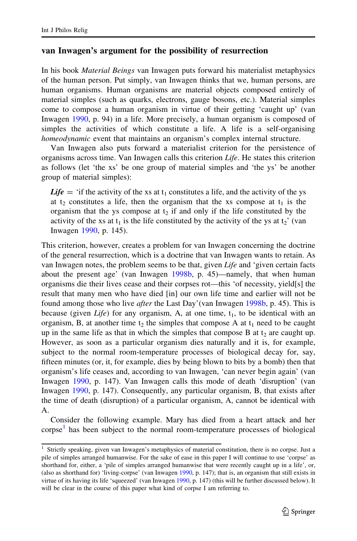## van Inwagen's argument for the possibility of resurrection

In his book Material Beings van Inwagen puts forward his materialist metaphysics of the human person. Put simply, van Inwagen thinks that we, human persons, are human organisms. Human organisms are material objects composed entirely of material simples (such as quarks, electrons, gauge bosons, etc.). Material simples come to compose a human organism in virtue of their getting 'caught up' (van Inwagen [1990,](#page-17-0) p. 94) in a life. More precisely, a human organism is composed of simples the activities of which constitute a life. A life is a self-organising homeodynamic event that maintains an organism's complex internal structure.

Van Inwagen also puts forward a materialist criterion for the persistence of organisms across time. Van Inwagen calls this criterion Life. He states this criterion as follows (let 'the xs' be one group of material simples and 'the ys' be another group of material simples):

Life = 'if the activity of the xs at  $t_1$  constitutes a life, and the activity of the ys at t<sub>2</sub> constitutes a life, then the organism that the xs compose at  $t_1$  is the organism that the ys compose at  $t_2$  if and only if the life constituted by the activity of the xs at  $t_1$  is the life constituted by the activity of the ys at  $t_2$ ' (van Inwagen [1990](#page-17-0), p. 145).

This criterion, however, creates a problem for van Inwagen concerning the doctrine of the general resurrection, which is a doctrine that van Inwagen wants to retain. As van Inwagen notes, the problem seems to be that, given Life and 'given certain facts about the present age' (van Inwagen [1998b](#page-17-0), p. 45)—namely, that when human organisms die their lives cease and their corpses rot—this 'of necessity, yield[s] the result that many men who have died [in] our own life time and earlier will not be found among those who live *after* the Last Day'(van Inwagen [1998b](#page-17-0), p. 45). This is because (given Life) for any organism, A, at one time,  $t_1$ , to be identical with an organism, B, at another time  $t_2$  the simples that compose A at  $t_1$  need to be caught up in the same life as that in which the simples that compose B at  $t_2$  are caught up. However, as soon as a particular organism dies naturally and it is, for example, subject to the normal room-temperature processes of biological decay for, say, fifteen minutes (or, it, for example, dies by being blown to bits by a bomb) then that organism's life ceases and, according to van Inwagen, 'can never begin again' (van Inwagen [1990,](#page-17-0) p. 147). Van Inwagen calls this mode of death 'disruption' (van Inwagen [1990,](#page-17-0) p. 147). Consequently, any particular organism, B, that exists after the time of death (disruption) of a particular organism, A, cannot be identical with A.

Consider the following example. Mary has died from a heart attack and her  $\omega$ <sub>corpse</sub><sup>1</sup> has been subject to the normal room-temperature processes of biological

<sup>&</sup>lt;sup>1</sup> Strictly speaking, given van Inwagen's metaphysics of material constitution, there is no corpse. Just a pile of simples arranged humanwise. For the sake of ease in this paper I will continue to use 'corpse' as shorthand for, either, a 'pile of simples arranged humanwise that were recently caught up in a life', or, (also as shorthand for) 'living-corpse' (van Inwagen [1990,](#page-17-0) p. 147); that is, an organism that still exists in virtue of its having its life 'squeezed' (van Inwagen [1990](#page-17-0), p. 147) (this will be further discussed below). It will be clear in the course of this paper what kind of corpse I am referring to.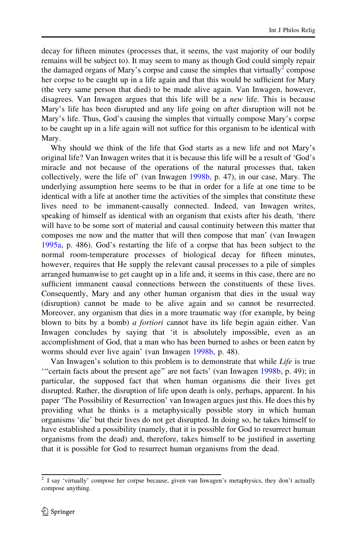decay for fifteen minutes (processes that, it seems, the vast majority of our bodily remains will be subject to). It may seem to many as though God could simply repair the damaged organs of Mary's corpse and cause the simples that virtually<sup>2</sup> compose her corpse to be caught up in a life again and that this would be sufficient for Mary (the very same person that died) to be made alive again. Van Inwagen, however, disagrees. Van Inwagen argues that this life will be a new life. This is because Mary's life has been disrupted and any life going on after disruption will not be Mary's life. Thus, God's causing the simples that virtually compose Mary's corpse to be caught up in a life again will not suffice for this organism to be identical with Mary.

Why should we think of the life that God starts as a new life and not Mary's original life? Van Inwagen writes that it is because this life will be a result of 'God's miracle and not because of the operations of the natural processes that, taken collectively, were the life of' (van Inwagen [1998b](#page-17-0), p. 47), in our case, Mary. The underlying assumption here seems to be that in order for a life at one time to be identical with a life at another time the activities of the simples that constitute these lives need to be immanent-causally connected. Indeed, van Inwagen writes, speaking of himself as identical with an organism that exists after his death, 'there will have to be some sort of material and causal continuity between this matter that composes me now and the matter that will then compose that man' (van Inwagen [1995a](#page-17-0), p. 486). God's restarting the life of a corpse that has been subject to the normal room-temperature processes of biological decay for fifteen minutes, however, requires that He supply the relevant causal processes to a pile of simples arranged humanwise to get caught up in a life and, it seems in this case, there are no sufficient immanent causal connections between the constituents of these lives. Consequently, Mary and any other human organism that dies in the usual way (disruption) cannot be made to be alive again and so cannot be resurrected. Moreover, any organism that dies in a more traumatic way (for example, by being blown to bits by a bomb) a fortiori cannot have its life begin again either. Van Inwagen concludes by saying that 'it is absolutely impossible, even as an accomplishment of God, that a man who has been burned to ashes or been eaten by worms should ever live again' (van Inwagen [1998b,](#page-17-0) p. 48).

Van Inwagen's solution to this problem is to demonstrate that while Life is true '''certain facts about the present age'' are not facts' (van Inwagen [1998b,](#page-17-0) p. 49); in particular, the supposed fact that when human organisms die their lives get disrupted. Rather, the disruption of life upon death is only, perhaps, apparent. In his paper 'The Possibility of Resurrection' van Inwagen argues just this. He does this by providing what he thinks is a metaphysically possible story in which human organisms 'die' but their lives do not get disrupted. In doing so, he takes himself to have established a possibility (namely, that it is possible for God to resurrect human organisms from the dead) and, therefore, takes himself to be justified in asserting that it is possible for God to resurrect human organisms from the dead.

<sup>&</sup>lt;sup>2</sup> I say 'virtually' compose her corpse because, given van Inwagen's metaphysics, they don't actually compose anything.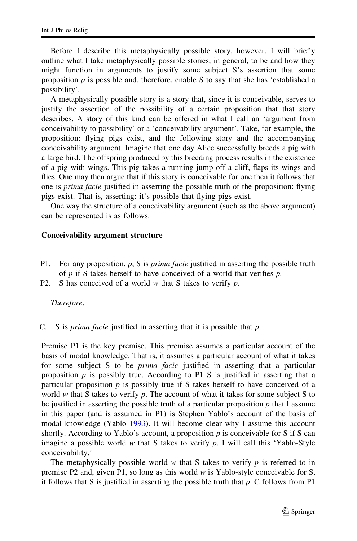Before I describe this metaphysically possible story, however, I will briefly outline what I take metaphysically possible stories, in general, to be and how they might function in arguments to justify some subject S's assertion that some proposition  $p$  is possible and, therefore, enable S to say that she has 'established a possibility'.

A metaphysically possible story is a story that, since it is conceivable, serves to justify the assertion of the possibility of a certain proposition that that story describes. A story of this kind can be offered in what I call an 'argument from conceivability to possibility' or a 'conceivability argument'. Take, for example, the proposition: flying pigs exist, and the following story and the accompanying conceivability argument. Imagine that one day Alice successfully breeds a pig with a large bird. The offspring produced by this breeding process results in the existence of a pig with wings. This pig takes a running jump off a cliff, flaps its wings and flies. One may then argue that if this story is conceivable for one then it follows that one is prima facie justified in asserting the possible truth of the proposition: flying pigs exist. That is, asserting: it's possible that flying pigs exist.

One way the structure of a conceivability argument (such as the above argument) can be represented is as follows:

#### Conceivability argument structure

- P1. For any proposition,  $p$ ,  $S$  is *prima facie* justified in asserting the possible truth of  $p$  if S takes herself to have conceived of a world that verifies  $p$ .
- P2. S has conceived of a world  $w$  that S takes to verify  $p$ .

Therefore,

C. S is prima facie justified in asserting that it is possible that p.

Premise P1 is the key premise. This premise assumes a particular account of the basis of modal knowledge. That is, it assumes a particular account of what it takes for some subject S to be prima facie justified in asserting that a particular proposition  $p$  is possibly true. According to P1 S is justified in asserting that a particular proposition  $p$  is possibly true if S takes herself to have conceived of a world w that S takes to verify p. The account of what it takes for some subject S to be justified in asserting the possible truth of a particular proposition  $p$  that I assume in this paper (and is assumed in P1) is Stephen Yablo's account of the basis of modal knowledge (Yablo [1993](#page-17-0)). It will become clear why I assume this account shortly. According to Yablo's account, a proposition  $p$  is conceivable for S if S can imagine a possible world w that S takes to verify  $p$ . I will call this 'Yablo-Style' conceivability.'

The metaphysically possible world  $w$  that S takes to verify  $p$  is referred to in premise P2 and, given P1, so long as this world w is Yablo-style conceivable for S, it follows that S is justified in asserting the possible truth that  $p$ . C follows from P1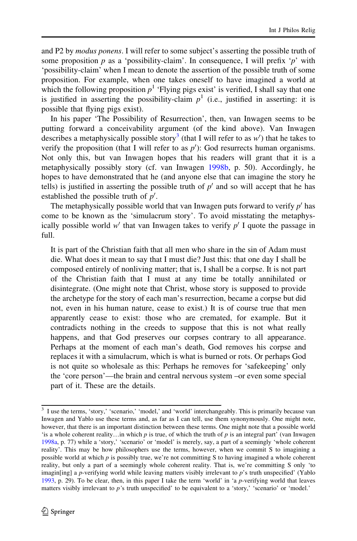and P2 by *modus ponens*. I will refer to some subject's asserting the possible truth of some proposition p as a 'possibility-claim'. In consequence, I will prefix 'p' with 'possibility-claim' when I mean to denote the assertion of the possible truth of some proposition. For example, when one takes oneself to have imagined a world at which the following proposition  $p<sup>1</sup>$  'Flying pigs exist' is verified, I shall say that one is justified in asserting the possibility-claim  $p<sup>1</sup>$  (i.e., justified in asserting: it is possible that flying pigs exist).

In his paper 'The Possibility of Resurrection', then, van Inwagen seems to be putting forward a conceivability argument (of the kind above). Van Inwagen describes a metaphysically possible story<sup>3</sup> (that I will refer to as  $w'$ ) that he takes to verify the proposition (that I will refer to as  $p'$ ): God resurrects human organisms. Not only this, but van Inwagen hopes that his readers will grant that it is a metaphysically possibly story (cf. van Inwagen [1998b](#page-17-0), p. 50). Accordingly, he hopes to have demonstrated that he (and anyone else that can imagine the story he tells) is justified in asserting the possible truth of  $p'$  and so will accept that he has established the possible truth of  $p'$ .

The metaphysically possible world that van Inwagen puts forward to verify  $p'$  has come to be known as the 'simulacrum story'. To avoid misstating the metaphysically possible world w' that van Inwagen takes to verify  $p'$  I quote the passage in full.

It is part of the Christian faith that all men who share in the sin of Adam must die. What does it mean to say that I must die? Just this: that one day I shall be composed entirely of nonliving matter; that is, I shall be a corpse. It is not part of the Christian faith that I must at any time be totally annihilated or disintegrate. (One might note that Christ, whose story is supposed to provide the archetype for the story of each man's resurrection, became a corpse but did not, even in his human nature, cease to exist.) It is of course true that men apparently cease to exist: those who are cremated, for example. But it contradicts nothing in the creeds to suppose that this is not what really happens, and that God preserves our corpses contrary to all appearance. Perhaps at the moment of each man's death, God removes his corpse and replaces it with a simulacrum, which is what is burned or rots. Or perhaps God is not quite so wholesale as this: Perhaps he removes for 'safekeeping' only the 'core person'—the brain and central nervous system –or even some special part of it. These are the details.

<sup>&</sup>lt;sup>3</sup> I use the terms, 'story,' 'scenario,' 'model,' and 'world' interchangeably. This is primarily because van Inwagen and Yablo use these terms and, as far as I can tell, use them synonymously. One might note, however, that there is an important distinction between these terms. One might note that a possible world 'is a whole coherent reality...in which p is true, of which the truth of p is an integral part' (van Inwagen [1998a](#page-17-0), p. 77) while a 'story,' 'scenario' or 'model' is merely, say, a part of a seemingly 'whole coherent reality'. This may be how philosophers use the terms, however, when we commit S to imagining a possible world at which  $p$  is possibly true, we're not committing S to having imagined a whole coherent reality, but only a part of a seemingly whole coherent reality. That is, we're committing S only 'to imagin[ing] a p-verifying world while leaving matters visibly irrelevant to p's truth unspecified' (Yablo [1993,](#page-17-0) p. 29). To be clear, then, in this paper I take the term 'world' in 'a  $p$ -verifying world that leaves matters visibly irrelevant to p's truth unspecified' to be equivalent to a 'story,' 'scenario' or 'model.'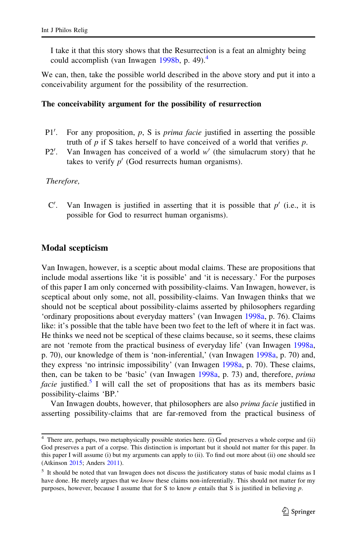I take it that this story shows that the Resurrection is a feat an almighty being could accomplish (van Inwagen [1998b,](#page-17-0) p. 49).<sup>4</sup>

We can, then, take the possible world described in the above story and put it into a conceivability argument for the possibility of the resurrection.

## The conceivability argument for the possibility of resurrection

- $P1'$ . For any proposition,  $p$ , S is *prima facie* justified in asserting the possible truth of  $p$  if S takes herself to have conceived of a world that verifies  $p$ .
- $P2'$ . Van Inwagen has conceived of a world  $w'$  (the simulacrum story) that he takes to verify  $p'$  (God resurrects human organisms).

## Therefore,

 $C'$ . Van Inwagen is justified in asserting that it is possible that  $p'$  (i.e., it is possible for God to resurrect human organisms).

## Modal scepticism

Van Inwagen, however, is a sceptic about modal claims. These are propositions that include modal assertions like 'it is possible' and 'it is necessary.' For the purposes of this paper I am only concerned with possibility-claims. Van Inwagen, however, is sceptical about only some, not all, possibility-claims. Van Inwagen thinks that we should not be sceptical about possibility-claims asserted by philosophers regarding 'ordinary propositions about everyday matters' (van Inwagen [1998a,](#page-17-0) p. 76). Claims like: it's possible that the table have been two feet to the left of where it in fact was. He thinks we need not be sceptical of these claims because, so it seems, these claims are not 'remote from the practical business of everyday life' (van Inwagen [1998a,](#page-17-0) p. 70), our knowledge of them is 'non-inferential,' (van Inwagen [1998a,](#page-17-0) p. 70) and, they express 'no intrinsic impossibility' (van Inwagen [1998a,](#page-17-0) p. 70). These claims, then, can be taken to be 'basic' (van Inwagen [1998a](#page-17-0), p. 73) and, therefore, prima facie justified. $\overline{5}$  I will call the set of propositions that has as its members basic possibility-claims 'BP.'

Van Inwagen doubts, however, that philosophers are also prima facie justified in asserting possibility-claims that are far-removed from the practical business of

<sup>4</sup> There are, perhaps, two metaphysically possible stories here. (i) God preserves a whole corpse and (ii) God preserves a part of a corpse. This distinction is important but it should not matter for this paper. In this paper I will assume (i) but my arguments can apply to (ii). To find out more about (ii) one should see (Atkinson [2015](#page-16-0); Anders [2011\)](#page-16-0).

<sup>&</sup>lt;sup>5</sup> It should be noted that van Inwagen does not discuss the justificatory status of basic modal claims as I have done. He merely argues that we *know* these claims non-inferentially. This should not matter for my purposes, however, because I assume that for S to know p entails that S is justified in believing  $p$ .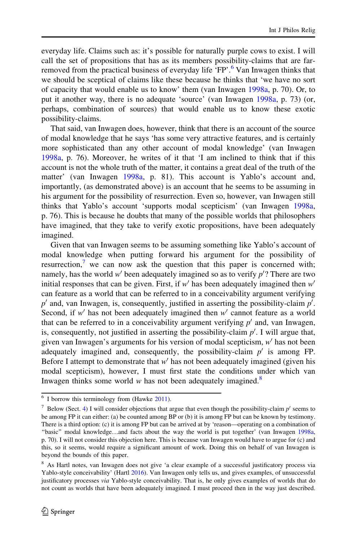everyday life. Claims such as: it's possible for naturally purple cows to exist. I will call the set of propositions that has as its members possibility-claims that are farremoved from the practical business of everyday life 'FP'.<sup>6</sup> Van Inwagen thinks that we should be sceptical of claims like these because he thinks that 'we have no sort of capacity that would enable us to know' them (van Inwagen [1998a](#page-17-0), p. 70). Or, to put it another way, there is no adequate 'source' (van Inwagen [1998a](#page-17-0), p. 73) (or, perhaps, combination of sources) that would enable us to know these exotic possibility-claims.

That said, van Inwagen does, however, think that there is an account of the source of modal knowledge that he says 'has some very attractive features, and is certainly more sophisticated than any other account of modal knowledge' (van Inwagen [1998a](#page-17-0), p. 76). Moreover, he writes of it that 'I am inclined to think that if this account is not the whole truth of the matter, it contains a great deal of the truth of the matter' (van Inwagen [1998a,](#page-17-0) p. 81). This account is Yablo's account and, importantly, (as demonstrated above) is an account that he seems to be assuming in his argument for the possibility of resurrection. Even so, however, van Inwagen still thinks that Yablo's account 'supports modal scepticism' (van Inwagen [1998a,](#page-17-0) p. 76). This is because he doubts that many of the possible worlds that philosophers have imagined, that they take to verify exotic propositions, have been adequately imagined.

Given that van Inwagen seems to be assuming something like Yablo's account of modal knowledge when putting forward his argument for the possibility of resurrection,<sup>7</sup> we can now ask the question that this paper is concerned with; namely, has the world  $w'$  been adequately imagined so as to verify  $p'$ ? There are two initial responses that can be given. First, if w' has been adequately imagined then w' can feature as a world that can be referred to in a conceivability argument verifying  $p'$  and, van Inwagen, is, consequently, justified in asserting the possibility-claim  $p'$ . Second, if  $w'$  has not been adequately imagined then  $w'$  cannot feature as a world that can be referred to in a conceivability argument verifying  $p'$  and, van Inwagen, is, consequently, not justified in asserting the possibility-claim  $p'$ . I will argue that, given van Inwagen's arguments for his version of modal scepticism,  $w'$  has not been adequately imagined and, consequently, the possibility-claim  $p'$  is among FP. Before I attempt to demonstrate that  $w'$  has not been adequately imagined (given his modal scepticism), however, I must first state the conditions under which van Inwagen thinks some world w has not been adequately imagined.<sup>8</sup>

 $6$  I borrow this terminology from (Hawke [2011\)](#page-17-0).

<sup>&</sup>lt;sup>7</sup> Below (Sect. [4\)](#page-14-0) I will consider objections that argue that even though the possibility-claim  $p'$  seems to be among FP it can either: (a) be counted among BP or (b) it is among FP but can be known by testimony. There is a third option: (c) it is among FP but can be arrived at by 'reason—operating on a combination of ''basic'' modal knowledge…and facts about the way the world is put together' (van Inwagen [1998a](#page-17-0), p. 70). I will not consider this objection here. This is because van Inwagen would have to argue for (c) and this, so it seems, would require a significant amount of work. Doing this on behalf of van Inwagen is beyond the bounds of this paper.

<sup>8</sup> As Hartl notes, van Inwagen does not give 'a clear example of a successful justificatory process via Yablo-style conceivability' (Hartl [2016](#page-16-0)). Van Inwagen only tells us, and gives examples, of unsuccessful justificatory processes via Yablo-style conceivability. That is, he only gives examples of worlds that do not count as worlds that have been adequately imagined. I must proceed then in the way just described.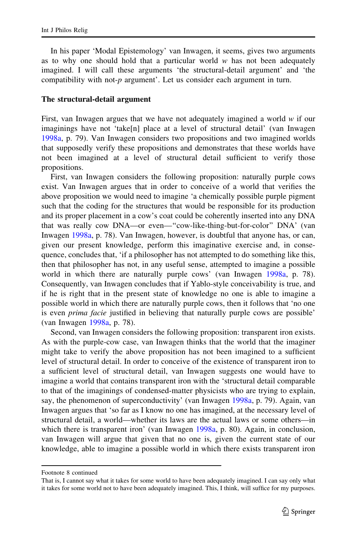In his paper 'Modal Epistemology' van Inwagen, it seems, gives two arguments as to why one should hold that a particular world  $w$  has not been adequately imagined. I will call these arguments 'the structural-detail argument' and 'the compatibility with not-p argument'. Let us consider each argument in turn.

#### The structural-detail argument

First, van Inwagen argues that we have not adequately imagined a world  $w$  if our imaginings have not 'take[n] place at a level of structural detail' (van Inwagen [1998a](#page-17-0), p. 79). Van Inwagen considers two propositions and two imagined worlds that supposedly verify these propositions and demonstrates that these worlds have not been imagined at a level of structural detail sufficient to verify those propositions.

First, van Inwagen considers the following proposition: naturally purple cows exist. Van Inwagen argues that in order to conceive of a world that verifies the above proposition we would need to imagine 'a chemically possible purple pigment such that the coding for the structures that would be responsible for its production and its proper placement in a cow's coat could be coherently inserted into any DNA that was really cow DNA—or even—''cow-like-thing-but-for-color'' DNA' (van Inwagen [1998a,](#page-17-0) p. 78). Van Inwagen, however, is doubtful that anyone has, or can, given our present knowledge, perform this imaginative exercise and, in consequence, concludes that, 'if a philosopher has not attempted to do something like this, then that philosopher has not, in any useful sense, attempted to imagine a possible world in which there are naturally purple cows' (van Inwagen [1998a](#page-17-0), p. 78). Consequently, van Inwagen concludes that if Yablo-style conceivability is true, and if he is right that in the present state of knowledge no one is able to imagine a possible world in which there are naturally purple cows, then it follows that 'no one is even *prima facie* justified in believing that naturally purple cows are possible' (van Inwagen [1998a](#page-17-0), p. 78).

Second, van Inwagen considers the following proposition: transparent iron exists. As with the purple-cow case, van Inwagen thinks that the world that the imaginer might take to verify the above proposition has not been imagined to a sufficient level of structural detail. In order to conceive of the existence of transparent iron to a sufficient level of structural detail, van Inwagen suggests one would have to imagine a world that contains transparent iron with the 'structural detail comparable to that of the imaginings of condensed-matter physicists who are trying to explain, say, the phenomenon of superconductivity' (van Inwagen [1998a](#page-17-0), p. 79). Again, van Inwagen argues that 'so far as I know no one has imagined, at the necessary level of structural detail, a world—whether its laws are the actual laws or some others—in which there is transparent iron' (van Inwagen [1998a,](#page-17-0) p. 80). Again, in conclusion, van Inwagen will argue that given that no one is, given the current state of our knowledge, able to imagine a possible world in which there exists transparent iron

Footnote 8 continued

That is, I cannot say what it takes for some world to have been adequately imagined. I can say only what it takes for some world not to have been adequately imagined. This, I think, will suffice for my purposes.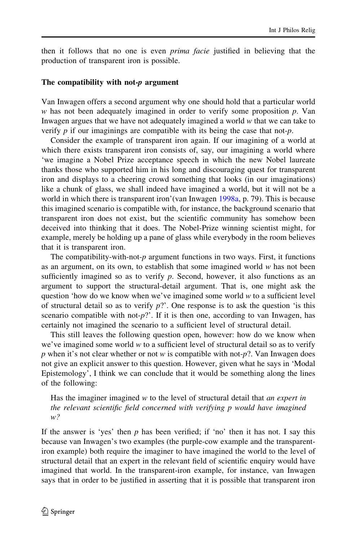then it follows that no one is even *prima facie* justified in believing that the production of transparent iron is possible.

#### The compatibility with not-*p* argument

Van Inwagen offers a second argument why one should hold that a particular world w has not been adequately imagined in order to verify some proposition  $p$ . Van Inwagen argues that we have not adequately imagined a world w that we can take to verify  $p$  if our imaginings are compatible with its being the case that not- $p$ .

Consider the example of transparent iron again. If our imagining of a world at which there exists transparent iron consists of, say, our imagining a world where 'we imagine a Nobel Prize acceptance speech in which the new Nobel laureate thanks those who supported him in his long and discouraging quest for transparent iron and displays to a cheering crowd something that looks (in our imaginations) like a chunk of glass, we shall indeed have imagined a world, but it will not be a world in which there is transparent iron'(van Inwagen [1998a,](#page-17-0) p. 79). This is because this imagined scenario is compatible with, for instance, the background scenario that transparent iron does not exist, but the scientific community has somehow been deceived into thinking that it does. The Nobel-Prize winning scientist might, for example, merely be holding up a pane of glass while everybody in the room believes that it is transparent iron.

The compatibility-with-not- $p$  argument functions in two ways. First, it functions as an argument, on its own, to establish that some imagined world  $w$  has not been sufficiently imagined so as to verify  $p$ . Second, however, it also functions as an argument to support the structural-detail argument. That is, one might ask the question 'how do we know when we've imagined some world w to a sufficient level of structural detail so as to verify  $p$ ?'. One response is to ask the question 'is this scenario compatible with not- $p$ ?'. If it is then one, according to van Inwagen, has certainly not imagined the scenario to a sufficient level of structural detail.

This still leaves the following question open, however: how do we know when we've imagined some world  $w$  to a sufficient level of structural detail so as to verify p when it's not clear whether or not w is compatible with not-p?. Van Inwagen does not give an explicit answer to this question. However, given what he says in 'Modal Epistemology', I think we can conclude that it would be something along the lines of the following:

Has the imaginer imagined  $w$  to the level of structural detail that *an expert in* the relevant scientific field concerned with verifying p would have imagined w?

If the answer is 'yes' then  $p$  has been verified; if 'no' then it has not. I say this because van Inwagen's two examples (the purple-cow example and the transparentiron example) both require the imaginer to have imagined the world to the level of structural detail that an expert in the relevant field of scientific enquiry would have imagined that world. In the transparent-iron example, for instance, van Inwagen says that in order to be justified in asserting that it is possible that transparent iron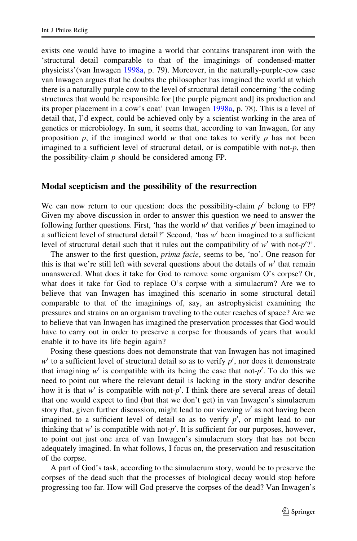exists one would have to imagine a world that contains transparent iron with the 'structural detail comparable to that of the imaginings of condensed-matter physicists'(van Inwagen [1998a,](#page-17-0) p. 79). Moreover, in the naturally-purple-cow case van Inwagen argues that he doubts the philosopher has imagined the world at which there is a naturally purple cow to the level of structural detail concerning 'the coding structures that would be responsible for [the purple pigment and] its production and its proper placement in a cow's coat' (van Inwagen [1998a](#page-17-0), p. 78). This is a level of detail that, I'd expect, could be achieved only by a scientist working in the area of genetics or microbiology. In sum, it seems that, according to van Inwagen, for any proposition  $p$ , if the imagined world  $w$  that one takes to verify  $p$  has not been imagined to a sufficient level of structural detail, or is compatible with not-p, then the possibility-claim  $p$  should be considered among FP.

## Modal scepticism and the possibility of the resurrection

We can now return to our question: does the possibility-claim  $p'$  belong to FP? Given my above discussion in order to answer this question we need to answer the following further questions. First, 'has the world  $w'$  that verifies  $p'$  been imagined to a sufficient level of structural detail?' Second, 'has  $w'$  been imagined to a sufficient level of structural detail such that it rules out the compatibility of  $w'$  with not- $p'$ .

The answer to the first question, *prima facie*, seems to be, 'no'. One reason for this is that we're still left with several questions about the details of  $w'$  that remain unanswered. What does it take for God to remove some organism O's corpse? Or, what does it take for God to replace O's corpse with a simulacrum? Are we to believe that van Inwagen has imagined this scenario in some structural detail comparable to that of the imaginings of, say, an astrophysicist examining the pressures and strains on an organism traveling to the outer reaches of space? Are we to believe that van Inwagen has imagined the preservation processes that God would have to carry out in order to preserve a corpse for thousands of years that would enable it to have its life begin again?

Posing these questions does not demonstrate that van Inwagen has not imagined  $w'$  to a sufficient level of structural detail so as to verify  $p'$ , nor does it demonstrate that imagining  $w'$  is compatible with its being the case that not- $p'$ . To do this we need to point out where the relevant detail is lacking in the story and/or describe how it is that  $w'$  is compatible with not-p'. I think there are several areas of detail that one would expect to find (but that we don't get) in van Inwagen's simulacrum story that, given further discussion, might lead to our viewing  $w'$  as not having been imagined to a sufficient level of detail so as to verify  $p'$ , or might lead to our thinking that  $w'$  is compatible with not- $p'$ . It is sufficient for our purposes, however, to point out just one area of van Inwagen's simulacrum story that has not been adequately imagined. In what follows, I focus on, the preservation and resuscitation of the corpse.

A part of God's task, according to the simulacrum story, would be to preserve the corpses of the dead such that the processes of biological decay would stop before progressing too far. How will God preserve the corpses of the dead? Van Inwagen's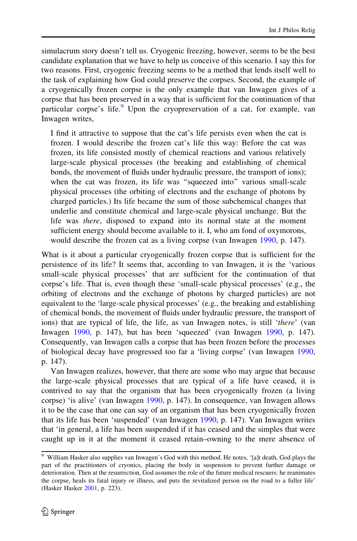simulacrum story doesn't tell us. Cryogenic freezing, however, seems to be the best candidate explanation that we have to help us conceive of this scenario. I say this for two reasons. First, cryogenic freezing seems to be a method that lends itself well to the task of explaining how God could preserve the corpses. Second, the example of a cryogenically frozen corpse is the only example that van Inwagen gives of a corpse that has been preserved in a way that is sufficient for the continuation of that particular corpse's life.<sup>9</sup> Upon the cryopreservation of a cat, for example, van Inwagen writes,

I find it attractive to suppose that the cat's life persists even when the cat is frozen. I would describe the frozen cat's life this way: Before the cat was frozen, its life consisted mostly of chemical reactions and various relatively large-scale physical processes (the breaking and establishing of chemical bonds, the movement of fluids under hydraulic pressure, the transport of ions); when the cat was frozen, its life was ''squeezed into'' various small-scale physical processes (the orbiting of electrons and the exchange of photons by charged particles.) Its life became the sum of those subchemical changes that underlie and constitute chemical and large-scale physical unchange. But the life was there, disposed to expand into its normal state at the moment sufficient energy should become available to it. I, who am fond of oxymorons, would describe the frozen cat as a living corpse (van Inwagen [1990,](#page-17-0) p. 147).

What is it about a particular cryogenically frozen corpse that is sufficient for the persistence of its life? It seems that, according to van Inwagen, it is the 'various small-scale physical processes' that are sufficient for the continuation of that corpse's life. That is, even though these 'small-scale physical processes' (e.g., the orbiting of electrons and the exchange of photons by charged particles) are not equivalent to the 'large-scale physical processes' (e.g., the breaking and establishing of chemical bonds, the movement of fluids under hydraulic pressure, the transport of ions) that are typical of life, the life, as van Inwagen notes, is still 'there' (van Inwagen [1990](#page-17-0), p. 147), but has been 'squeezed' (van Inwagen [1990](#page-17-0), p. 147). Consequently, van Inwagen calls a corpse that has been frozen before the processes of biological decay have progressed too far a 'living corpse' (van Inwagen [1990,](#page-17-0) p. 147).

Van Inwagen realizes, however, that there are some who may argue that because the large-scale physical processes that are typical of a life have ceased, it is contrived to say that the organism that has been cryogenically frozen (a living corpse) 'is alive' (van Inwagen [1990](#page-17-0), p. 147). In consequence, van Inwagen allows it to be the case that one can say of an organism that has been cryogenically frozen that its life has been 'suspended' (van Inwagen [1990,](#page-17-0) p. 147). Van Inwagen writes that 'in general, a life has been suspended if it has ceased and the simples that were caught up in it at the moment it ceased retain–owning to the mere absence of

<sup>9</sup> William Hasker also supplies van Inwagen's God with this method. He notes, '[a]t death, God plays the part of the practitioners of cryonics, placing the body in suspension to prevent further damage or deterioration. Then at the resurrection, God assumes the role of the future medical rescuers: he reanimates the corpse, heals its fatal injury or illness, and puts the revitalized person on the road to a fuller life' (Hasker Hasker [2001,](#page-16-0) p. 223).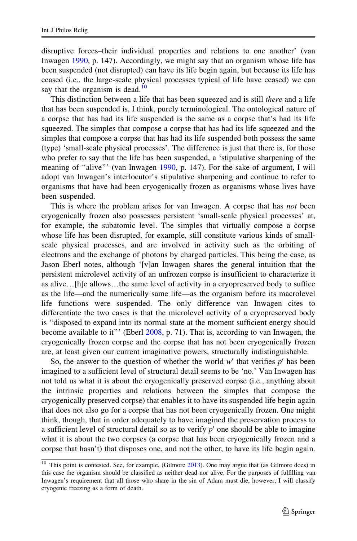disruptive forces–their individual properties and relations to one another' (van Inwagen [1990](#page-17-0), p. 147). Accordingly, we might say that an organism whose life has been suspended (not disrupted) can have its life begin again, but because its life has ceased (i.e., the large-scale physical processes typical of life have ceased) we can say that the organism is dead. $10$ 

This distinction between a life that has been squeezed and is still there and a life that has been suspended is, I think, purely terminological. The ontological nature of a corpse that has had its life suspended is the same as a corpse that's had its life squeezed. The simples that compose a corpse that has had its life squeezed and the simples that compose a corpse that has had its life suspended both possess the same (type) 'small-scale physical processes'. The difference is just that there is, for those who prefer to say that the life has been suspended, a 'stipulative sharpening of the meaning of "alive"' (van Inwagen [1990](#page-17-0), p. 147). For the sake of argument, I will adopt van Inwagen's interlocutor's stipulative sharpening and continue to refer to organisms that have had been cryogenically frozen as organisms whose lives have been suspended.

This is where the problem arises for van Inwagen. A corpse that has *not* been cryogenically frozen also possesses persistent 'small-scale physical processes' at, for example, the subatomic level. The simples that virtually compose a corpse whose life has been disrupted, for example, still constitute various kinds of smallscale physical processes, and are involved in activity such as the orbiting of electrons and the exchange of photons by charged particles. This being the case, as Jason Eberl notes, although '[v]an Inwagen shares the general intuition that the persistent microlevel activity of an unfrozen corpse is insufficient to characterize it as alive…[h]e allows…the same level of activity in a cryopreserved body to suffice as the life—and the numerically same life—as the organism before its macrolevel life functions were suspended. The only difference van Inwagen cites to differentiate the two cases is that the microlevel activity of a cryopreserved body is ''disposed to expand into its normal state at the moment sufficient energy should become available to it"' (Eberl [2008](#page-16-0), p. 71). That is, according to van Inwagen, the cryogenically frozen corpse and the corpse that has not been cryogenically frozen are, at least given our current imaginative powers, structurally indistinguishable.

So, the answer to the question of whether the world  $w'$  that verifies  $p'$  has been imagined to a sufficient level of structural detail seems to be 'no.' Van Inwagen has not told us what it is about the cryogenically preserved corpse (i.e., anything about the intrinsic properties and relations between the simples that compose the cryogenically preserved corpse) that enables it to have its suspended life begin again that does not also go for a corpse that has not been cryogenically frozen. One might think, though, that in order adequately to have imagined the preservation process to a sufficient level of structural detail so as to verify  $p'$  one should be able to imagine what it is about the two corpses (a corpse that has been cryogenically frozen and a corpse that hasn't) that disposes one, and not the other, to have its life begin again.

<sup>&</sup>lt;sup>10</sup> This point is contested. See, for example, (Gilmore [2013\)](#page-16-0). One may argue that (as Gilmore does) in this case the organism should be classified as neither dead nor alive. For the purposes of fulfilling van Inwagen's requirement that all those who share in the sin of Adam must die, however, I will classify cryogenic freezing as a form of death.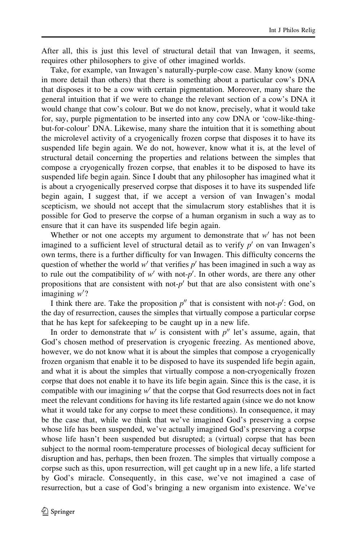After all, this is just this level of structural detail that van Inwagen, it seems, requires other philosophers to give of other imagined worlds.

Take, for example, van Inwagen's naturally-purple-cow case. Many know (some in more detail than others) that there is something about a particular cow's DNA that disposes it to be a cow with certain pigmentation. Moreover, many share the general intuition that if we were to change the relevant section of a cow's DNA it would change that cow's colour. But we do not know, precisely, what it would take for, say, purple pigmentation to be inserted into any cow DNA or 'cow-like-thingbut-for-colour' DNA. Likewise, many share the intuition that it is something about the microlevel activity of a cryogenically frozen corpse that disposes it to have its suspended life begin again. We do not, however, know what it is, at the level of structural detail concerning the properties and relations between the simples that compose a cryogenically frozen corpse, that enables it to be disposed to have its suspended life begin again. Since I doubt that any philosopher has imagined what it is about a cryogenically preserved corpse that disposes it to have its suspended life begin again, I suggest that, if we accept a version of van Inwagen's modal scepticism, we should not accept that the simulacrum story establishes that it is possible for God to preserve the corpse of a human organism in such a way as to ensure that it can have its suspended life begin again.

Whether or not one accepts my argument to demonstrate that  $w'$  has not been imagined to a sufficient level of structural detail as to verify  $p'$  on van Inwagen's own terms, there is a further difficulty for van Inwagen. This difficulty concerns the question of whether the world w' that verifies  $p'$  has been imagined in such a way as to rule out the compatibility of  $w'$  with not-p'. In other words, are there any other propositions that are consistent with not- $p'$  but that are also consistent with one's imagining  $w$ ?

I think there are. Take the proposition  $p''$  that is consistent with not- $p'$ : God, on the day of resurrection, causes the simples that virtually compose a particular corpse that he has kept for safekeeping to be caught up in a new life.

In order to demonstrate that w' is consistent with  $p''$  let's assume, again, that God's chosen method of preservation is cryogenic freezing. As mentioned above, however, we do not know what it is about the simples that compose a cryogenically frozen organism that enable it to be disposed to have its suspended life begin again, and what it is about the simples that virtually compose a non-cryogenically frozen corpse that does not enable it to have its life begin again. Since this is the case, it is compatible with our imagining  $w'$  that the corpse that God resurrects does not in fact meet the relevant conditions for having its life restarted again (since we do not know what it would take for any corpse to meet these conditions). In consequence, it may be the case that, while we think that we've imagined God's preserving a corpse whose life has been suspended, we've actually imagined God's preserving a corpse whose life hasn't been suspended but disrupted; a (virtual) corpse that has been subject to the normal room-temperature processes of biological decay sufficient for disruption and has, perhaps, then been frozen. The simples that virtually compose a corpse such as this, upon resurrection, will get caught up in a new life, a life started by God's miracle. Consequently, in this case, we've not imagined a case of resurrection, but a case of God's bringing a new organism into existence. We've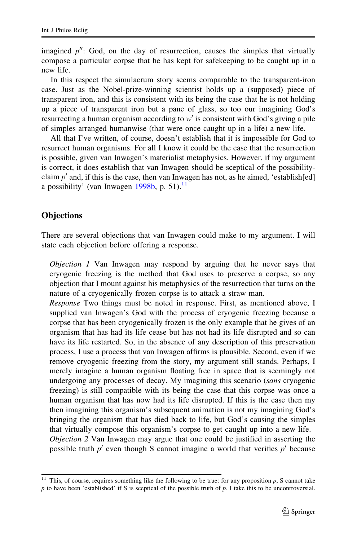<span id="page-14-0"></span>imagined  $p''$ : God, on the day of resurrection, causes the simples that virtually compose a particular corpse that he has kept for safekeeping to be caught up in a new life.

In this respect the simulacrum story seems comparable to the transparent-iron case. Just as the Nobel-prize-winning scientist holds up a (supposed) piece of transparent iron, and this is consistent with its being the case that he is not holding up a piece of transparent iron but a pane of glass, so too our imagining God's resurrecting a human organism according to  $w'$  is consistent with God's giving a pile of simples arranged humanwise (that were once caught up in a life) a new life.

All that I've written, of course, doesn't establish that it is impossible for God to resurrect human organisms. For all I know it could be the case that the resurrection is possible, given van Inwagen's materialist metaphysics. However, if my argument is correct, it does establish that van Inwagen should be sceptical of the possibilityclaim  $p'$  and, if this is the case, then van Inwagen has not, as he aimed, 'establish[ed] a possibility' (van Inwagen [1998b,](#page-17-0) p. 51).<sup>11</sup>

## **Objections**

There are several objections that van Inwagen could make to my argument. I will state each objection before offering a response.

Objection 1 Van Inwagen may respond by arguing that he never says that cryogenic freezing is the method that God uses to preserve a corpse, so any objection that I mount against his metaphysics of the resurrection that turns on the nature of a cryogenically frozen corpse is to attack a straw man.

Response Two things must be noted in response. First, as mentioned above, I supplied van Inwagen's God with the process of cryogenic freezing because a corpse that has been cryogenically frozen is the only example that he gives of an organism that has had its life cease but has not had its life disrupted and so can have its life restarted. So, in the absence of any description of this preservation process, I use a process that van Inwagen affirms is plausible. Second, even if we remove cryogenic freezing from the story, my argument still stands. Perhaps, I merely imagine a human organism floating free in space that is seemingly not undergoing any processes of decay. My imagining this scenario (sans cryogenic freezing) is still compatible with its being the case that this corpse was once a human organism that has now had its life disrupted. If this is the case then my then imagining this organism's subsequent animation is not my imagining God's bringing the organism that has died back to life, but God's causing the simples that virtually compose this organism's corpse to get caught up into a new life. Objection 2 Van Inwagen may argue that one could be justified in asserting the possible truth  $p'$  even though S cannot imagine a world that verifies  $p'$  because

This, of course, requires something like the following to be true: for any proposition  $p$ , S cannot take  $p$  to have been 'established' if S is sceptical of the possible truth of  $p$ . I take this to be uncontroversial.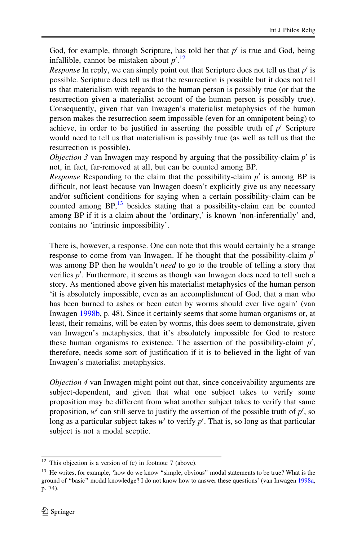God, for example, through Scripture, has told her that  $p'$  is true and God, being infallible, cannot be mistaken about  $p'^{12}$ 

*Response* In reply, we can simply point out that Scripture does not tell us that  $p'$  is possible. Scripture does tell us that the resurrection is possible but it does not tell us that materialism with regards to the human person is possibly true (or that the resurrection given a materialist account of the human person is possibly true). Consequently, given that van Inwagen's materialist metaphysics of the human person makes the resurrection seem impossible (even for an omnipotent being) to achieve, in order to be justified in asserting the possible truth of  $p'$  Scripture would need to tell us that materialism is possibly true (as well as tell us that the resurrection is possible).

*Objection 3* van Inwagen may respond by arguing that the possibility-claim  $p'$  is not, in fact, far-removed at all, but can be counted among BP.

Response Responding to the claim that the possibility-claim  $p'$  is among BP is difficult, not least because van Inwagen doesn't explicitly give us any necessary and/or sufficient conditions for saying when a certain possibility-claim can be counted among  $BP<sup>13</sup>$  besides stating that a possibility-claim can be counted among BP if it is a claim about the 'ordinary,' is known 'non-inferentially' and, contains no 'intrinsic impossibility'.

There is, however, a response. One can note that this would certainly be a strange response to come from van Inwagen. If he thought that the possibility-claim  $p'$ was among BP then he wouldn't *need* to go to the trouble of telling a story that verifies  $p'$ . Furthermore, it seems as though van Inwagen does need to tell such a story. As mentioned above given his materialist metaphysics of the human person 'it is absolutely impossible, even as an accomplishment of God, that a man who has been burned to ashes or been eaten by worms should ever live again' (van Inwagen [1998b,](#page-17-0) p. 48). Since it certainly seems that some human organisms or, at least, their remains, will be eaten by worms, this does seem to demonstrate, given van Inwagen's metaphysics, that it's absolutely impossible for God to restore these human organisms to existence. The assertion of the possibility-claim  $p'$ , therefore, needs some sort of justification if it is to believed in the light of van Inwagen's materialist metaphysics.

Objection 4 van Inwagen might point out that, since conceivability arguments are subject-dependent, and given that what one subject takes to verify some proposition may be different from what another subject takes to verify that same proposition,  $w'$  can still serve to justify the assertion of the possible truth of  $p'$ , so long as a particular subject takes  $w'$  to verify  $p'$ . That is, so long as that particular subject is not a modal sceptic.

 $12$  This objection is a version of (c) in footnote 7 (above).

<sup>&</sup>lt;sup>13</sup> He writes, for example, 'how do we know "simple, obvious" modal statements to be true? What is the ground of ''basic'' modal knowledge? I do not know how to answer these questions' (van Inwagen [1998a](#page-17-0), p. 74).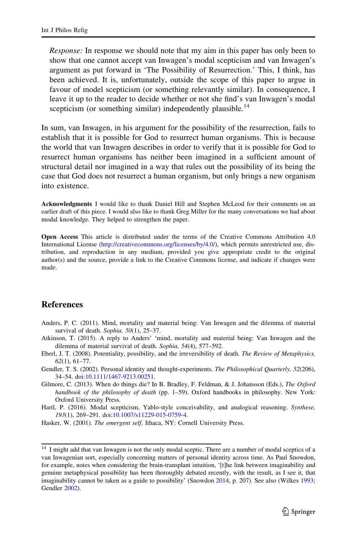<span id="page-16-0"></span>Response: In response we should note that my aim in this paper has only been to show that one cannot accept van Inwagen's modal scepticism and van Inwagen's argument as put forward in 'The Possibility of Resurrection.' This, I think, has been achieved. It is, unfortunately, outside the scope of this paper to argue in favour of model scepticism (or something relevantly similar). In consequence, I leave it up to the reader to decide whether or not she find's van Inwagen's modal scepticism (or something similar) independently plausible.<sup>14</sup>

In sum, van Inwagen, in his argument for the possibility of the resurrection, fails to establish that it is possible for God to resurrect human organisms. This is because the world that van Inwagen describes in order to verify that it is possible for God to resurrect human organisms has neither been imagined in a sufficient amount of structural detail nor imagined in a way that rules out the possibility of its being the case that God does not resurrect a human organism, but only brings a new organism into existence.

Acknowledgments I would like to thank Daniel Hill and Stephen McLeod for their comments on an earlier draft of this piece. I would also like to thank Greg Miller for the many conversations we had about modal knowledge. They helped to strengthen the paper.

Open Access This article is distributed under the terms of the Creative Commons Attribution 4.0 International License ([http://creativecommons.org/licenses/by/4.0/\)](http://creativecommons.org/licenses/by/4.0/), which permits unrestricted use, distribution, and reproduction in any medium, provided you give appropriate credit to the original author(s) and the source, provide a link to the Creative Commons license, and indicate if changes were made.

## References

- Anders, P. C. (2011). Mind, mortality and material being: Van Inwagen and the dilemma of material survival of death. Sophia, 50(1), 25-37.
- Atkinson, T. (2015). A reply to Anders' 'mind, mortality and material being: Van Inwagen and the dilemma of material survival of death. Sophia, 54(4), 577–592.
- Eberl, J. T. (2008). Potentiality, possibility, and the irreversibility of death. The Review of Metaphysics, 62(1), 61–77.
- Gendler, T. S. (2002). Personal identity and thought-experiments. The Philosophical Quarterly, 52(206), 34–54. doi:[10.1111/1467-9213.00251](http://dx.doi.org/10.1111/1467-9213.00251).
- Gilmore, C. (2013). When do things die? In B. Bradley, F. Feldman, & J. Johansson (Eds.), The Oxford handbook of the philosophy of death (pp. 1–59). Oxford handbooks in philosophy. New York: Oxford University Press.

Hartl, P. (2016). Modal scepticism, Yablo-style conceivability, and analogical reasoning. Synthese, 193(1), 269–291. doi:[10.1007/s11229-015-0759-4](http://dx.doi.org/10.1007/s11229-015-0759-4).

Hasker, W. (2001). The emergent self. Ithaca, NY: Cornell University Press.

<sup>&</sup>lt;sup>14</sup> I might add that van Inwagen is not the only modal sceptic. There are a number of modal sceptics of a van Inwagenian sort, especially concerning matters of personal identity across time. As Paul Snowdon, for example, notes when considering the brain-transplant intuition, '[t]he link between imaginability and genuine metaphysical possibility has been thoroughly debated recently, with the result, as I see it, that imaginability cannot be taken as a guide to possibility' (Snowdon [2014,](#page-17-0) p. 207). See also (Wilkes [1993](#page-17-0); Gendler 2002).